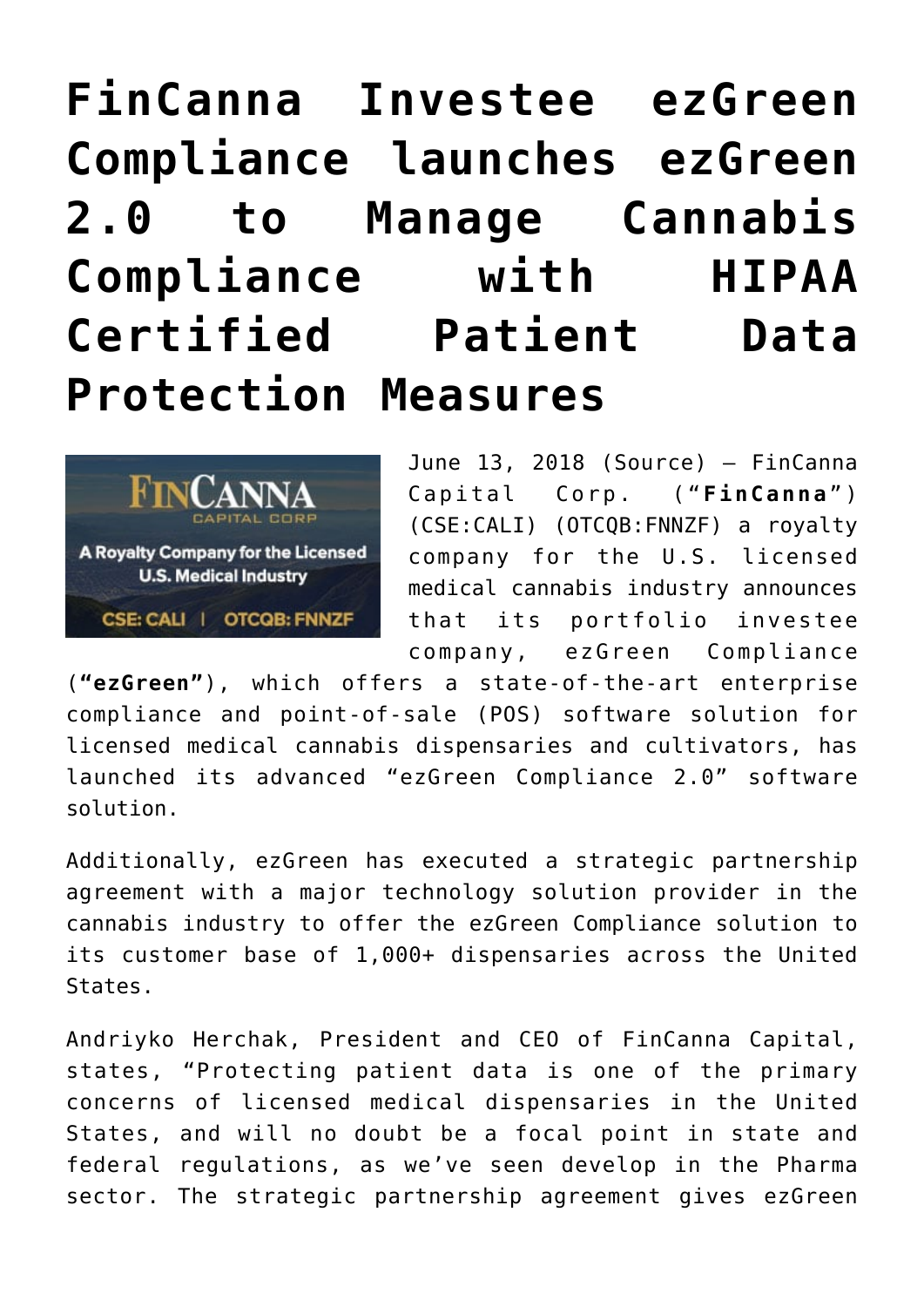# **[FinCanna Investee ezGreen](https://investorintel.com/markets/agribusiness-mmj/agbusiness-mmj-news/fincanna-investee-ezgreen-compliance-launches-ezgreen-2-0-manage-cannabis-compliance-hipaa-certified-patient-data-protection-measures/) [Compliance launches ezGreen](https://investorintel.com/markets/agribusiness-mmj/agbusiness-mmj-news/fincanna-investee-ezgreen-compliance-launches-ezgreen-2-0-manage-cannabis-compliance-hipaa-certified-patient-data-protection-measures/) [2.0 to Manage Cannabis](https://investorintel.com/markets/agribusiness-mmj/agbusiness-mmj-news/fincanna-investee-ezgreen-compliance-launches-ezgreen-2-0-manage-cannabis-compliance-hipaa-certified-patient-data-protection-measures/) [Compliance with HIPAA](https://investorintel.com/markets/agribusiness-mmj/agbusiness-mmj-news/fincanna-investee-ezgreen-compliance-launches-ezgreen-2-0-manage-cannabis-compliance-hipaa-certified-patient-data-protection-measures/) [Certified Patient Data](https://investorintel.com/markets/agribusiness-mmj/agbusiness-mmj-news/fincanna-investee-ezgreen-compliance-launches-ezgreen-2-0-manage-cannabis-compliance-hipaa-certified-patient-data-protection-measures/) [Protection Measures](https://investorintel.com/markets/agribusiness-mmj/agbusiness-mmj-news/fincanna-investee-ezgreen-compliance-launches-ezgreen-2-0-manage-cannabis-compliance-hipaa-certified-patient-data-protection-measures/)**



June 13, 2018 ([Source](https://investorintel.com/iintel-members/fincanna-capital-corp-2/)) — FinCanna Capital Corp. ("**FinCanna**" ) (CSE:CALI) (OTCQB:FNNZF) a royalty company for the U.S. licensed medical cannabis industry announces that its portfolio investee company, ezGreen Compliance

(**"ezGreen"**), which offers a state-of-the-art enterprise compliance and point-of-sale (POS) software solution for licensed medical cannabis dispensaries and cultivators, has launched its advanced "ezGreen Compliance 2.0" software solution.

Additionally, ezGreen has executed a strategic partnership agreement with a major technology solution provider in the cannabis industry to offer the ezGreen Compliance solution to its customer base of 1,000+ dispensaries across the United States.

Andriyko Herchak, President and CEO of FinCanna Capital, states, "Protecting patient data is one of the primary concerns of licensed medical dispensaries in the United States, and will no doubt be a focal point in state and federal regulations, as we've seen develop in the Pharma sector. The strategic partnership agreement gives ezGreen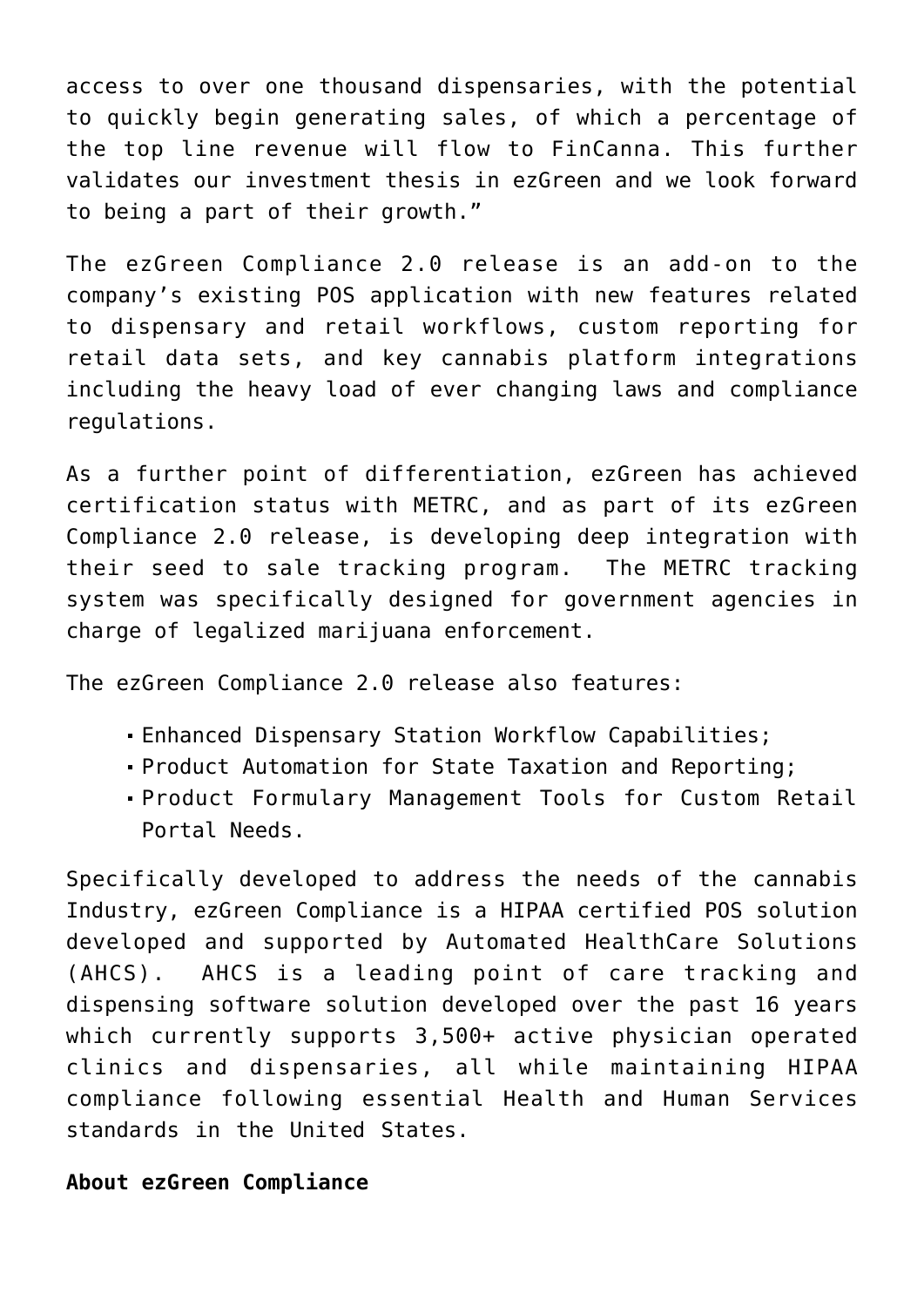access to over one thousand dispensaries, with the potential to quickly begin generating sales, of which a percentage of the top line revenue will flow to FinCanna. This further validates our investment thesis in ezGreen and we look forward to being a part of their growth."

The ezGreen Compliance 2.0 release is an add-on to the company's existing POS application with new features related to dispensary and retail workflows, custom reporting for retail data sets, and key cannabis platform integrations including the heavy load of ever changing laws and compliance regulations.

As a further point of differentiation, ezGreen has achieved certification status with [METRC](https://www.globenewswire.com/Tracker?data=5gnzPg6-sjOtCpz77AFHbTa8lUzxDE5rLIe5wUT8fpzGgp1mNNXqJuUFk95Q4_rkyEbfFf60vuDEQh9fEkUwDA==), and as part of its ezGreen Compliance 2.0 release, is developing deep integration with their seed to sale tracking program. The METRC tracking system was specifically designed for government agencies in charge of legalized marijuana enforcement.

The ezGreen Compliance 2.0 release also features:

- Enhanced Dispensary Station Workflow Capabilities;
- Product Automation for State Taxation and Reporting;
- Product Formulary Management Tools for Custom Retail Portal Needs.

Specifically developed to address the needs of the cannabis Industry, ezGreen Compliance is a HIPAA certified POS solution developed and supported by Automated HealthCare Solutions (AHCS). AHCS is a leading point of care tracking and dispensing software solution developed over the past 16 years which currently supports 3,500+ active physician operated clinics and dispensaries, all while maintaining HIPAA compliance following essential Health and Human Services standards in the United States.

# **About ezGreen Compliance**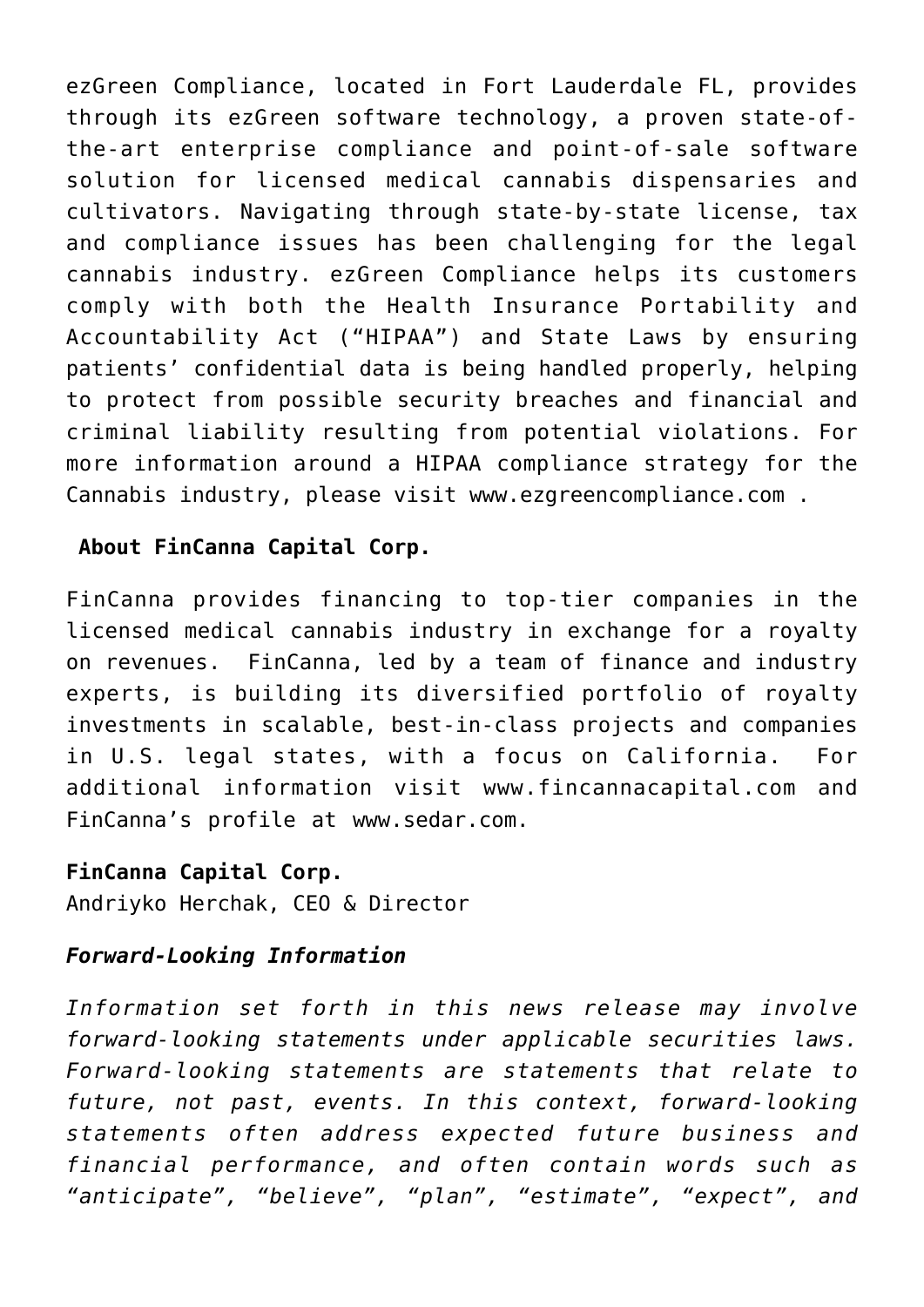ezGreen Compliance, located in Fort Lauderdale FL, provides through its ezGreen software technology, a proven state-ofthe-art enterprise compliance and point-of-sale software solution for licensed medical cannabis dispensaries and cultivators. Navigating through state-by-state license, tax and compliance issues has been challenging for the legal cannabis industry. ezGreen Compliance helps its customers comply with both the [Health Insurance Portability and](https://www.globenewswire.com/Tracker?data=cb0w6kdkx07EZNxz2NEEEGfhDEjmNRUtboJEmNUPZsm6HUg96fl3wKD30Tz3X0hLlJH1RonBltsT5CePOCv8pvKH9fwumOFZrMU0omIPM5PW0oQVvCYzEYhKgbZ4UfGUXhv6iQVP9By3KSd5rdfIlelX9OZOu6Wgyroi1ex85w7afDMcU5PKdLjqqR7CYLWTRSIWauw0vGe8H9WVlZmbY6Dxn417aSfGXNjQuEDP08i14G7IeSQW18cGqdQ0PFvK) [Accountability Act \("HIPAA"\)](https://www.globenewswire.com/Tracker?data=cb0w6kdkx07EZNxz2NEEEGfhDEjmNRUtboJEmNUPZsm6HUg96fl3wKD30Tz3X0hLlJH1RonBltsT5CePOCv8pvKH9fwumOFZrMU0omIPM5PW0oQVvCYzEYhKgbZ4UfGUXhv6iQVP9By3KSd5rdfIlelX9OZOu6Wgyroi1ex85w7afDMcU5PKdLjqqR7CYLWTRSIWauw0vGe8H9WVlZmbY6Dxn417aSfGXNjQuEDP08i14G7IeSQW18cGqdQ0PFvK) and State Laws by ensuring patients' confidential data is being handled properly, helping to protect from possible security breaches and financial and criminal liability resulting from potential violations. For more information around a HIPAA compliance strategy for the Cannabis industry, please visit [www.ezgreencompliance.com](https://www.globenewswire.com/Tracker?data=e238He0pv06SajZXQXedJiOLBTMVS5cSmkZckLNB4wYRf0Y8nDja-1bx5ABYQoerBhi50fkpNN7bQtF4BVO7GP03TSbs6PSf1hf1bwMiRCM=) .

# **About FinCanna Capital Corp.**

FinCanna provides financing to top-tier companies in the licensed medical cannabis industry in exchange for a royalty on revenues. FinCanna, led by a team of finance and industry experts, is building its diversified portfolio of royalty investments in scalable, best-in-class projects and companies in U.S. legal states, with a focus on California. For additional information visit [www.fincannacapital.com](https://www.globenewswire.com/Tracker?data=-_7jxzYVogfr5lQOMrunKE7lFS3UdWrG6LssGRBT5ryaJ76R3Ih8sBHlyVT6f8PQsJoLJK0qEHq61xQqLAoulU9R9HBmKWDQuiJV7Uw10UKy6O97kNb3KTrJKKuvoNoAULiPNX1uXbqT8sa4IfRC4GX-cyQTAcZqVqdnMaQla_tp13TYrDTEqkA-YaePqaYPUZv0Mk-eGUfNDOTAIh3C_tSCMwcUiGefivx4HQTUtlV9zO2OR8CKWuOokXNyVJyqsCYY2HvFsavjQqEAGOuH1Q==) and FinCanna's profile at [www.sedar.com.](https://www.globenewswire.com/Tracker?data=4mBETR2ZMUblhwMFN5fEVMipq9H3Je90uo-JvK8T1bUTvT6z9oQv5Z-K8NGKc7hZCUtzZEENQRa_zZXMuIcu8g==)

# **FinCanna Capital Corp.**

Andriyko Herchak, CEO & Director

# *Forward-Looking Information*

*Information set forth in this news release may involve forward-looking statements under applicable securities laws. Forward-looking statements are statements that relate to future, not past, events. In this context, forward-looking statements often address expected future business and financial performance, and often contain words such as "anticipate", "believe", "plan", "estimate", "expect", and*